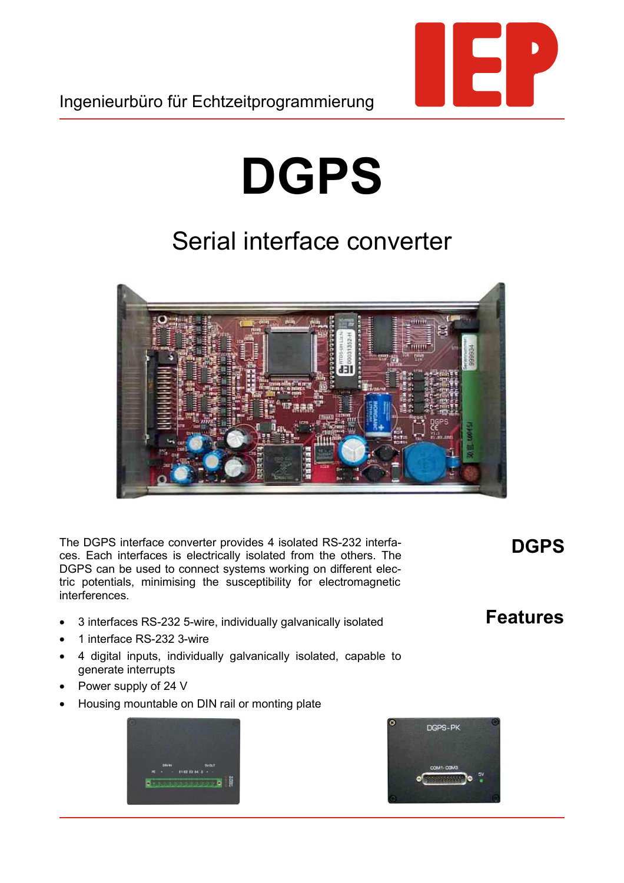## **DGPS**

## Serial interface converter



The DGPS interface converter provides 4 isolated RS-232 interfaces. Each interfaces is electrically isolated from the others. The DGPS can be used to connect systems working on different electric potentials, minimising the susceptibility for electromagnetic interferences.

- 3 interfaces RS-232 5-wire, individually galvanically isolated
- 1 interface RS-232 3-wire
- 4 digital inputs, individually galvanically isolated, capable to generate interrupts
- Power supply of 24 V
- Housing mountable on DIN rail or monting plate





## **DGPS**

## **Features**